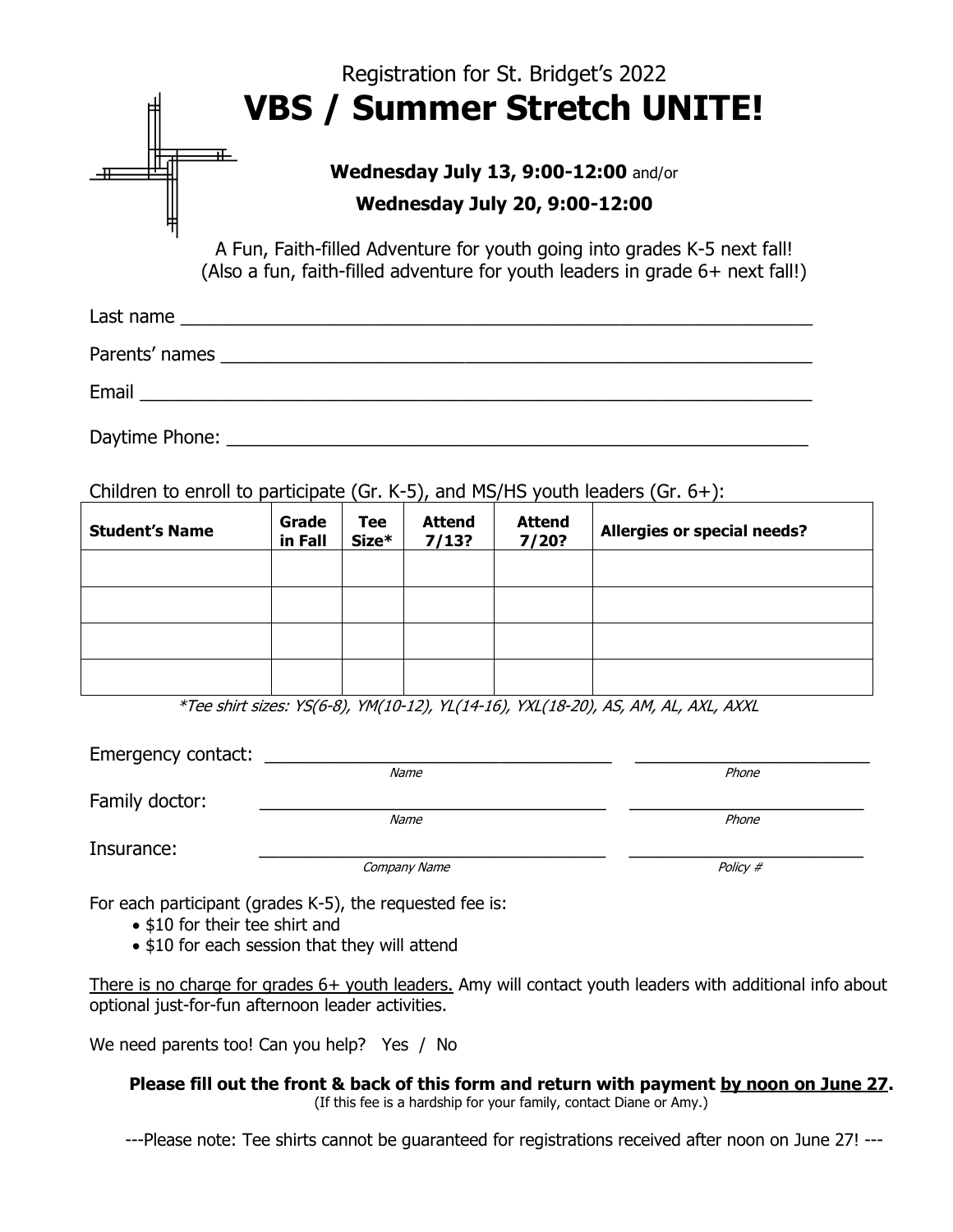|                                                                                           |                  |                |                        | Registration for St. Bridget's 2022 |                                                                                                                                                           |
|-------------------------------------------------------------------------------------------|------------------|----------------|------------------------|-------------------------------------|-----------------------------------------------------------------------------------------------------------------------------------------------------------|
|                                                                                           |                  |                |                        |                                     | <b>VBS / Summer Stretch UNITE!</b>                                                                                                                        |
| ∓⊢<br><b>Wednesday July 13, 9:00-12:00 and/or</b><br><b>Wednesday July 20, 9:00-12:00</b> |                  |                |                        |                                     |                                                                                                                                                           |
|                                                                                           |                  |                |                        |                                     | A Fun, Faith-filled Adventure for youth going into grades K-5 next fall!<br>(Also a fun, faith-filled adventure for youth leaders in grade 6+ next fall!) |
|                                                                                           |                  |                |                        |                                     |                                                                                                                                                           |
|                                                                                           |                  |                |                        |                                     |                                                                                                                                                           |
|                                                                                           |                  |                |                        |                                     |                                                                                                                                                           |
|                                                                                           |                  |                |                        |                                     |                                                                                                                                                           |
| Children to enroll to participate (Gr. K-5), and MS/HS youth leaders (Gr. $6+$ ):         |                  |                |                        |                                     |                                                                                                                                                           |
| <b>Student's Name</b>                                                                     | Grade<br>in Fall | Tee<br>$Size*$ | <b>Attend</b><br>7/13? | <b>Attend</b><br>7/20?              | Allergies or special needs?                                                                                                                               |
|                                                                                           |                  |                |                        |                                     |                                                                                                                                                           |

|  |  | $*T_{00}$ shirt since $V C (C, 0)$ $V M (10, 17)$ $V (111, 10)$ $V N (110, 20)$ and an all ave aver |  |
|--|--|-----------------------------------------------------------------------------------------------------|--|

\*Tee shirt sizes: YS(6-8), YM(10-12), YL(14-16), YXL(18-20), AS, AM, AL, AXL, AXXL

| Emergency contact: |              |          |
|--------------------|--------------|----------|
|                    | Name         | Phone    |
| Family doctor:     |              |          |
|                    | Name         | Phone    |
| Insurance:         |              |          |
|                    | Company Name | Policy # |

For each participant (grades K-5), the requested fee is:

- \$10 for their tee shirt and
- \$10 for each session that they will attend

There is no charge for grades 6+ youth leaders. Amy will contact youth leaders with additional info about optional just-for-fun afternoon leader activities.

We need parents too! Can you help? Yes / No

**Please fill out the front & back of this form and return with payment by noon on June 27.**  (If this fee is a hardship for your family, contact Diane or Amy.)

---Please note: Tee shirts cannot be guaranteed for registrations received after noon on June 27! ---